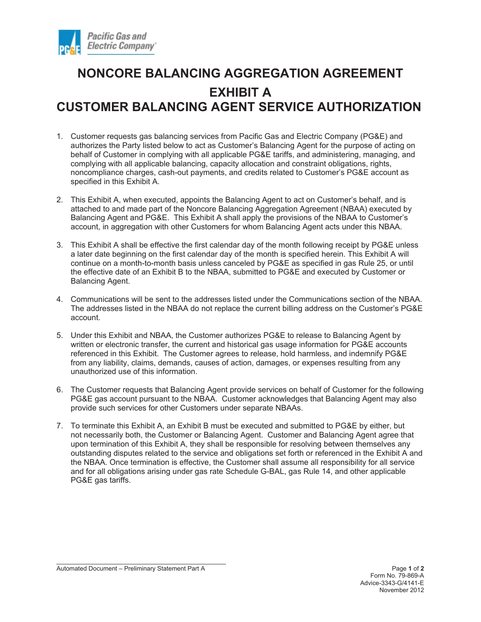

## **NONCORE BALANCING AGGREGATION AGREEMENT EXHIBIT A CUSTOMER BALANCING AGENT SERVICE AUTHORIZATION**

- 1. Customer requests gas balancing services from Pacific Gas and Electric Company (PG&E) and authorizes the Party listed below to act as Customer's Balancing Agent for the purpose of acting on behalf of Customer in complying with all applicable PG&E tariffs, and administering, managing, and complying with all applicable balancing, capacity allocation and constraint obligations, rights, noncompliance charges, cash-out payments, and credits related to Customer's PG&E account as specified in this Exhibit A.
- 2. This Exhibit A, when executed, appoints the Balancing Agent to act on Customer's behalf, and is attached to and made part of the Noncore Balancing Aggregation Agreement (NBAA) executed by Balancing Agent and PG&E. This Exhibit A shall apply the provisions of the NBAA to Customer's account, in aggregation with other Customers for whom Balancing Agent acts under this NBAA.
- 3. This Exhibit A shall be effective the first calendar day of the month following receipt by PG&E unless a later date beginning on the first calendar day of the month is specified herein. This Exhibit A will continue on a month-to-month basis unless canceled by PG&E as specified in gas Rule 25, or until the effective date of an Exhibit B to the NBAA, submitted to PG&E and executed by Customer or Balancing Agent.
- 4. Communications will be sent to the addresses listed under the Communications section of the NBAA. The addresses listed in the NBAA do not replace the current billing address on the Customer's PG&E account.
- 5. Under this Exhibit and NBAA, the Customer authorizes PG&E to release to Balancing Agent by written or electronic transfer, the current and historical gas usage information for PG&E accounts referenced in this Exhibit. The Customer agrees to release, hold harmless, and indemnify PG&E from any liability, claims, demands, causes of action, damages, or expenses resulting from any unauthorized use of this information.
- 6. The Customer requests that Balancing Agent provide services on behalf of Customer for the following PG&E gas account pursuant to the NBAA. Customer acknowledges that Balancing Agent may also provide such services for other Customers under separate NBAAs.
- 7. To terminate this Exhibit A, an Exhibit B must be executed and submitted to PG&E by either, but not necessarily both, the Customer or Balancing Agent. Customer and Balancing Agent agree that upon termination of this Exhibit A, they shall be responsible for resolving between themselves any outstanding disputes related to the service and obligations set forth or referenced in the Exhibit A and the NBAA. Once termination is effective, the Customer shall assume all responsibility for all service and for all obligations arising under gas rate Schedule G-BAL, gas Rule 14, and other applicable PG&E gas tariffs.

Automated Document – Preliminary Statement Part A **Page 1** of 2